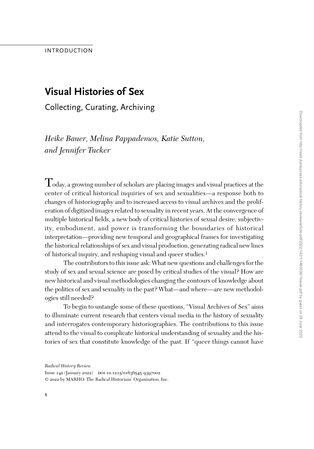# Visual Histories of Sex

Collecting, Curating, Archiving

Heike Bauer, Melina Pappademos, Katie Sutton, and Jennifer Tucker

 $T_{\rm oday,}$  a growing number of scholars are placing images and visual practices at the center of critical historical inquiries of sex and sexualities—a response both to changes of historiography and to increased access to visual archives and the proliferation of digitized images related to sexuality in recent years. At the convergence of multiple historical fields, a new body of critical histories of sexual desire, subjectivity, embodiment, and power is transforming the boundaries of historical interpretation—providing new temporal and geographical frames for investigating the historical relationships of sex and visual production, generating radical new lines of historical inquiry, and reshaping visual and queer studies.<sup>1</sup>

The contributors to this issue ask: What new questions and challenges for the study of sex and sexual science are posed by critical studies of the visual? How are new historical and visual methodologies changing the contours of knowledge about the politics of sex and sexuality in the past? What—and where—are new methodologies still needed?

To begin to untangle some of these questions, "Visual Archives of Sex" aims to illuminate current research that centers visual media in the history of sexuality and interrogates contemporary historiographies. The contributions to this issue attend to the visual to complicate historical understanding of sexuality and the histories of sex that constitute knowledge of the past. If "queer things cannot have

Radical History Review

Issue 142 (January 2022) DOI 10.1215/01636545-9397002

© 2022 by MARHO: The Radical Historians' Organization, Inc.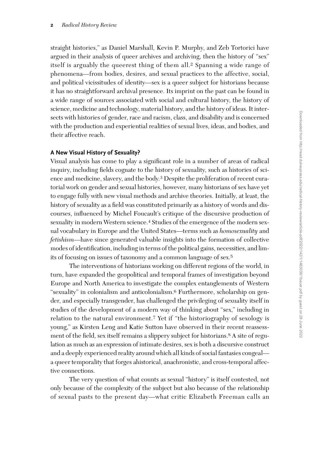straight histories," as Daniel Marshall, Kevin P. Murphy, and Zeb Tortorici have argued in their analysis of queer archives and archiving, then the history of "sex" itself is arguably the queerest thing of them all.<sup>2</sup> Spanning a wide range of phenomena—from bodies, desires, and sexual practices to the affective, social, and political vicissitudes of identity—sex is a queer subject for historians because it has no straightforward archival presence. Its imprint on the past can be found in a wide range of sources associated with social and cultural history, the history of science, medicine and technology, material history, and the history of ideas. It intersects with histories of gender, race and racism, class, and disability and is concerned with the production and experiential realities of sexual lives, ideas, and bodies, and their affective reach.

## A New Visual History of Sexuality?

Visual analysis has come to play a significant role in a number of areas of radical inquiry, including fields cognate to the history of sexuality, such as histories of science and medicine, slavery, and the body.<sup>3</sup> Despite the proliferation of recent curatorial work on gender and sexual histories, however, many historians of sex have yet to engage fully with new visual methods and archive theories. Initially, at least, the history of sexuality as a field was constituted primarily as a history of words and discourses, influenced by Michel Foucault's critique of the discursive production of sexuality in modern Western science.<sup>4</sup> Studies of the emergence of the modern sexual vocabulary in Europe and the United States—terms such as homosexuality and fetishism—have since generated valuable insights into the formation of collective modes of identification, including in terms of the political gains, necessities, and limits of focusing on issues of taxonomy and a common language of sex.<sup>5</sup>

The interventions of historians working on different regions of the world, in turn, have expanded the geopolitical and temporal frames of investigation beyond Europe and North America to investigate the complex entanglements of Western "sexuality" in colonialism and anticolonialism.<sup>6</sup> Furthermore, scholarship on gender, and especially transgender, has challenged the privileging of sexuality itself in studies of the development of a modern way of thinking about "sex," including in relation to the natural environment.<sup>7</sup> Yet if "the historiography of sexology is young," as Kirsten Leng and Katie Sutton have observed in their recent reassessment of the field, sex itself remains a slippery subject for historians.<sup>8</sup> A site of regulation as much as an expression of intimate desires, sex is both a discursive construct and a deeply experienced reality around which all kinds of social fantasies congeal a queer temporality that forges ahistorical, anachronistic, and cross-temporal affective connections.

The very question of what counts as sexual "history" is itself contested, not only because of the complexity of the subject but also because of the relationship of sexual pasts to the present day—what critic Elizabeth Freeman calls an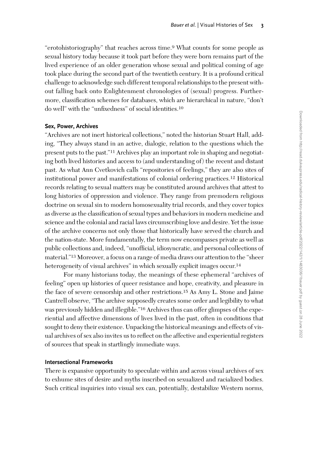"erotohistoriography" that reaches across time.<sup>9</sup> What counts for some people as sexual history today because it took part before they were born remains part of the lived experience of an older generation whose sexual and political coming of age took place during the second part of the twentieth century. It is a profound critical challenge to acknowledge such different temporal relationships to the present without falling back onto Enlightenment chronologies of (sexual) progress. Furthermore, classification schemes for databases, which are hierarchical in nature, "don't do well" with the "unfixedness" of social identities.<sup>10</sup>

### Sex, Power, Archives

"Archives are not inert historical collections," noted the historian Stuart Hall, adding, "They always stand in an active, dialogic, relation to the questions which the present puts to the past."<sup>11</sup> Archives play an important role in shaping and negotiating both lived histories and access to (and understanding of) the recent and distant past. As what Ann Cvetkovich calls "repositories of feelings," they are also sites of institutional power and manifestations of colonial ordering practices.<sup>12</sup> Historical records relating to sexual matters may be constituted around archives that attest to long histories of oppression and violence. They range from premodern religious doctrine on sexual sin to modern homosexuality trial records, and they cover topics as diverse as the classification of sexual types and behaviors in modern medicine and science and the colonial and racial laws circumscribing love and desire. Yet the issue of the archive concerns not only those that historically have served the church and the nation-state. More fundamentally, the term now encompasses private as well as public collections and, indeed, "unofficial, idiosyncratic, and personal collections of material."<sup>13</sup> Moreover, a focus on a range of media draws our attention to the "sheer heterogeneity of visual archives" in which sexually explicit images occur.<sup>14</sup>

For many historians today, the meanings of these ephemeral "archives of feeling" open up histories of queer resistance and hope, creativity, and pleasure in the face of severe censorship and other restrictions.<sup>15</sup> As Amy L. Stone and Jaime Cantrell observe, "The archive supposedly creates some order and legibility to what was previously hidden and illegible."<sup>16</sup> Archives thus can offer glimpses of the experiential and affective dimensions of lives lived in the past, often in conditions that sought to deny their existence. Unpacking the historical meanings and effects of visual archives of sex also invites us to reflect on the affective and experiential registers of sources that speak in startlingly immediate ways.

### Intersectional Frameworks

There is expansive opportunity to speculate within and across visual archives of sex to exhume sites of desire and myths inscribed on sexualized and racialized bodies. Such critical inquiries into visual sex can, potentially, destabilize Western norms,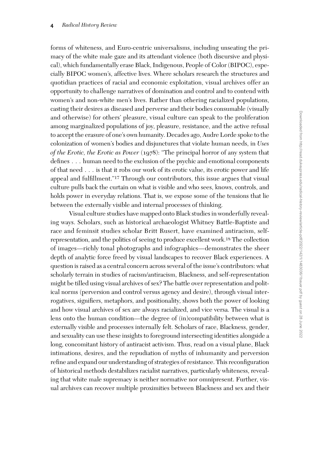forms of whiteness, and Euro-centric universalisms, including unseating the primacy of the white male gaze and its attendant violence (both discursive and physical), which fundamentally erase Black, Indigenous, People of Color (BIPOC), especially BIPOC women's, affective lives. Where scholars research the structures and quotidian practices of racial and economic exploitation, visual archives offer an opportunity to challenge narratives of domination and control and to contend with women's and non-white men's lives. Rather than othering racialized populations, casting their desires as diseased and perverse and their bodies consumable (visually and otherwise) for others' pleasure, visual culture can speak to the proliferation among marginalized populations of joy, pleasure, resistance, and the active refusal to accept the erasure of one's own humanity. Decades ago, Audre Lorde spoke to the colonization of women's bodies and disjunctures that violate human needs, in Uses of the Erotic, the Erotic as Power (1978): "The principal horror of any system that defines . . . human need to the exclusion of the psychic and emotional components of that need . . . is that it robs our work of its erotic value, its erotic power and life appeal and fulfillment."<sup>17</sup> Through our contributors, this issue argues that visual culture pulls back the curtain on what is visible and who sees, knows, controls, and holds power in everyday relations. That is, we expose some of the tensions that lie between the externally visible and internal processes of thinking.

Visual culture studies have mapped onto Black studies in wonderfully revealing ways. Scholars, such as historical archaeologist Whitney Battle-Baptiste and race and feminsit studies scholar Britt Rusert, have examined antiracism, selfrepresentation, and the politics of seeing to produce excellent work.<sup>18</sup> The collection of images—richly tonal photographs and infographics—demonstrates the sheer depth of analytic force freed by visual landscapes to recover Black experiences. A question is raised as a central concern across several of the issue's contributors: what scholarly terrain in studies of racism/antiracism, Blackness, and self-representation might be tilled using visual archives of sex? The battle over representation and political norms (perversion and control versus agency and desire), through visual interrogatives, signifiers, metaphors, and positionality, shows both the power of looking and how visual archives of sex are always racialized, and vice versa. The visual is a lens onto the human condition—the degree of (in)compatibility between what is externally visible and processes internally felt. Scholars of race, Blackness, gender, and sexuality can use these insights to foreground intersecting identities alongside a long, concomitant history of antiracist activism. Thus, read on a visual plane, Black intimations, desires, and the repudiation of myths of inhumanity and perversion refine and expand our understanding of strategies of resistance. This reconfiguration of historical methods destabilizes racialist narratives, particularly whiteness, revealing that white male supremacy is neither normative nor omnipresent. Further, visual archives can recover multiple proximities between Blackness and sex and their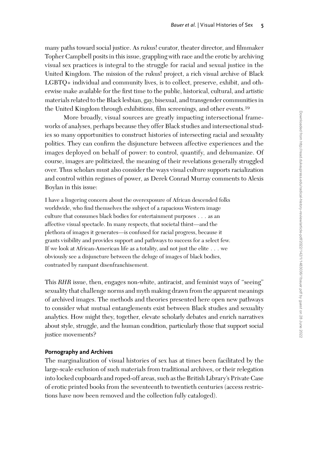many paths toward social justice. As rukus! curator, theater director, and filmmaker Topher Campbell posits in this issue, grappling with race and the erotic by archiving visual sex practices is integral to the struggle for racial and sexual justice in the United Kingdom. The mission of the rukus! project, a rich visual archive of Black LGBTQ+ individual and community lives, is to collect, preserve, exhibit, and otherwise make available for the first time to the public, historical, cultural, and artistic materials related to the Black lesbian, gay, bisexual, and transgender communities in the United Kingdom through exhibitions, film screenings, and other events.<sup>19</sup>

More broadly, visual sources are greatly impacting intersectional frameworks of analyses, perhaps because they offer Black studies and intersectional studies so many opportunities to construct histories of intersecting racial and sexuality politics. They can confirm the disjuncture between affective experiences and the images deployed on behalf of power: to control, quantify, and dehumanize. Of course, images are politicized, the meaning of their revelations generally struggled over. Thus scholars must also consider the ways visual culture supports racialization and control within regimes of power, as Derek Conrad Murray comments to Alexis Boylan in this issue:

I have a lingering concern about the overexposure of African descended folks worldwide, who find themselves the subject of a rapacious Western image culture that consumes black bodies for entertainment purposes . . . as an affective visual spectacle. In many respects, that societal thirst—and the plethora of images it generates—is confused for racial progress, because it grants visibility and provides support and pathways to success for a select few. If we look at African-American life as a totality, and not just the elite . . . we obviously see a disjuncture between the deluge of images of black bodies, contrasted by rampant disenfranchisement.

This RHR issue, then, engages non-white, antiracist, and feminist ways of "seeing" sexuality that challenge norms and myth making drawn from the apparent meanings of archived images. The methods and theories presented here open new pathways to consider what mutual entanglements exist between Black studies and sexuality analytics. How might they, together, elevate scholarly debates and enrich narratives about style, struggle, and the human condition, particularly those that support social justice movements?

### Pornography and Archives

The marginalization of visual histories of sex has at times been facilitated by the large-scale exclusion of such materials from traditional archives, or their relegation into locked cupboards and roped-off areas, such as the British Library's Private Case of erotic printed books from the seventeenth to twentieth centuries (access restrictions have now been removed and the collection fully cataloged).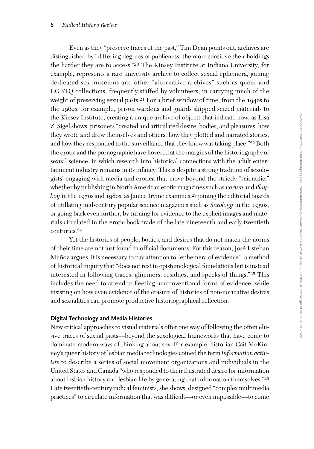Even as they "preserve traces of the past," Tim Dean points out, archives are distinguished by "differing degrees of publicness: the more sensitive their holdings the harder they are to access."<sup>20</sup> The Kinsey Institute at Indiana University, for example, represents a rare university archive to collect sexual ephemera, joining dedicated sex museums and other "alternative archives" such as queer and LGBTQ collections, frequently staffed by volunteers, in carrying much of the weight of preserving sexual pasts.<sup>21</sup> For a brief window of time, from the 1940s to the 1960s, for example, prison wardens and guards shipped seized materials to the Kinsey Institute, creating a unique archive of objects that indicate how, as Lisa Z. Sigel shows, prisoners "created and articulated desire, bodies, and pleasures, how they wrote and drew themselves and others, how they plotted and narrated stories, and how they responded to the surveillance that they knew was taking place."<sup>22</sup> Both the erotic and the pornographic have hovered at the margins of the historiography of sexual science, in which research into historical connections with the adult entertainment industry remains in its infancy. This is despite a strong tradition of sexologists' engaging with media and erotica that move beyond the strictly "scientific," whether by publishing in North American erotic magazines such as *Forum* and *Play*boy in the 1970s and 1980s, as Janice Irvine examines,<sup>23</sup> joining the editorial boards of titillating mid-century popular science magazines such as Sexology in the 1950s, or going back even further, by turning for evidence to the explicit images and materials circulated in the erotic book trade of the late nineteenth and early twentieth centuries.<sup>24</sup>

Yet the histories of people, bodies, and desires that do not match the norms of their time are not just found in official documents. For this reason, José Esteban Muñoz argues, it is necessary to pay attention to "ephemera of evidence": a method of historical inquiry that "does not rest in epistemological foundations but is instead interested in following traces, glimmers, residues, and specks of things."<sup>25</sup> This includes the need to attend to fleeting, unconventional forms of evidence, while insisting on how even evidence of the erasure of histories of non-normative desires and sexualities can promote productive historiographical reflection.

## Digital Technology and Media Histories

New critical approaches to visual materials offer one way of following the often elusive traces of sexual pasts—beyond the sexological frameworks that have come to dominate modern ways of thinking about sex. For example, historian Cait McKinney's queer history of lesbian media technologies coined the term information activists to describe a series of social movement organizations and individuals in the United States and Canada "who responded to their frustrated desire for information about lesbian history and lesbian life by generating that information themselves."<sup>26</sup> Late twentieth-century radical feminists, she shows, designed "complex multimedia practices" to circulate information that was difficult—or even impossible—to come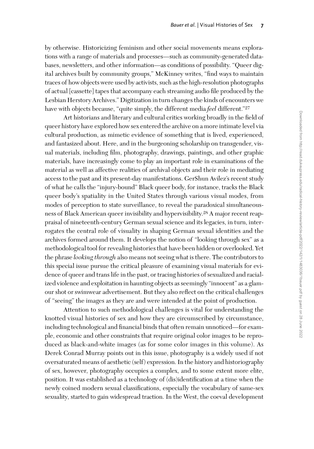by otherwise. Historicizing feminism and other social movements means explorations with a range of materials and processes—such as community-generated databases, newsletters, and other information—as conditions of possibility. "Queer digital archives built by community groups," McKinney writes, "find ways to maintain traces of how objects were used by activists, such as the high-resolution photographs of actual [cassette] tapes that accompany each streaming audio file produced by the Lesbian Herstory Archives." Digitization in turn changes the kinds of encounters we have with objects because, "quite simply, the different media *feel* different."<sup>27</sup>

Art historians and literary and cultural critics working broadly in the field of queer history have explored how sex entered the archive on a more intimate level via cultural production, as mimetic evidence of something that is lived, experienced, and fantasized about. Here, and in the burgeoning scholarship on transgender, visual materials, including film, photography, drawings, paintings, and other graphic materials, have increasingly come to play an important role in examinations of the material as well as affective realities of archival objects and their role in mediating access to the past and its present-day manifestations. GerShun Avilez's recent study of what he calls the "injury-bound" Black queer body, for instance, tracks the Black queer body's spatiality in the United States through various visual modes, from modes of perception to state surveillance, to reveal the paradoxical simultaneousness of Black American queer invisibility and hypervisibility.<sup>28</sup> A major recent reappraisal of nineteenth-century German sexual science and its legacies, in turn, interrogates the central role of visuality in shaping German sexual identities and the archives formed around them. It develops the notion of "looking through sex" as a methodological tool for revealing histories that have been hidden or overlooked. Yet the phrase *looking through* also means not seeing what is there. The contributors to this special issue pursue the critical pleasure of examining visual materials for evidence of queer and trans life in the past, or tracing histories of sexualized and racialized violence and exploitation in haunting objects as seemingly "innocent" as a glamour shot or swimwear advertisement. But they also reflect on the critical challenges of "seeing" the images as they are and were intended at the point of production.

Attention to such methodological challenges is vital for understanding the knotted visual histories of sex and how they are circumscribed by circumstance, including technological and financial binds that often remain unnoticed—for example, economic and other constraints that require original color images to be reproduced as black-and-white images (as for some color images in this volume). As Derek Conrad Murray points out in this issue, photography is a widely used if not oversaturated means of aesthetic (self) expression. In the history and historiography of sex, however, photography occupies a complex, and to some extent more elite, position. It was established as a technology of (dis)identification at a time when the newly coined modern sexual classifications, especially the vocabulary of same-sex sexuality, started to gain widespread traction. In the West, the coeval development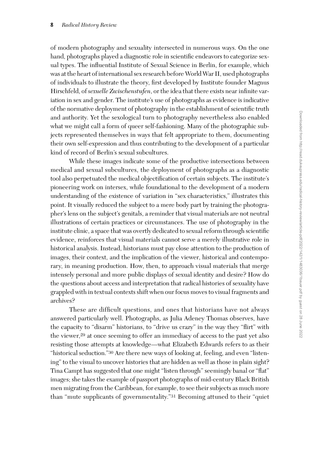of modern photography and sexuality intersected in numerous ways. On the one hand, photographs played a diagnostic role in scientific endeavors to categorize sexual types. The influential Institute of Sexual Science in Berlin, for example, which was at the heart of international sex research before World War II, used photographs of individuals to illustrate the theory, first developed by Institute founder Magnus Hirschfeld, of sexuelle Zwischenstufen, or the idea that there exists near infinite variation in sex and gender. The institute's use of photographs as evidence is indicative of the normative deployment of photography in the establishment of scientific truth and authority. Yet the sexological turn to photography nevertheless also enabled what we might call a form of queer self-fashioning. Many of the photographic subjects represented themselves in ways that felt appropriate to them, documenting their own self-expression and thus contributing to the development of a particular kind of record of Berlin's sexual subcultures.

While these images indicate some of the productive intersections between medical and sexual subcultures, the deployment of photographs as a diagnostic tool also perpetuated the medical objectification of certain subjects. The institute's pioneering work on intersex, while foundational to the development of a modern understanding of the existence of variation in "sex characteristics," illustrates this point. It visually reduced the subject to a mere body part by training the photographer's lens on the subject's genitals, a reminder that visual materials are not neutral illustrations of certain practices or circumstances. The use of photography in the institute clinic, a space that was overtly dedicated to sexual reform through scientific evidence, reinforces that visual materials cannot serve a merely illustrative role in historical analysis. Instead, historians must pay close attention to the production of images, their context, and the implication of the viewer, historical and contemporary, in meaning production. How, then, to approach visual materials that merge intensely personal and more public displays of sexual identity and desire? How do the questions about access and interpretation that radical histories of sexuality have grappled with in textual contexts shift when our focus moves to visual fragments and archives?

These are difficult questions, and ones that historians have not always answered particularly well. Photographs, as Julia Adeney Thomas observes, have the capacity to "disarm" historians, to "drive us crazy" in the way they "flirt" with the viewer,<sup>29</sup> at once seeming to offer an immediacy of access to the past yet also resisting those attempts at knowledge—what Elizabeth Edwards refers to as their "historical seduction."<sup>30</sup> Are there new ways of looking at, feeling, and even "listening" to the visual to uncover histories that are hidden as well as those in plain sight? Tina Campt has suggested that one might "listen through" seemingly banal or "flat" images; she takes the example of passport photographs of mid-century Black British men migrating from the Caribbean, for example, to see their subjects as much more than "mute supplicants of governmentality."<sup>31</sup> Becoming attuned to their "quiet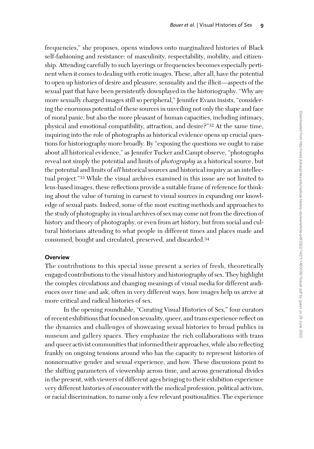frequencies," she proposes, opens windows onto marginalized histories of Black self-fashioning and resistance: of masculinity, respectability, mobility, and citizenship. Attending carefully to such layerings or frequencies becomes especially pertinent when it comes to dealing with erotic images. These, after all, have the potential to open up histories of desire and pleasure, sensuality and the illicit—aspects of the sexual past that have been persistently downplayed in the historiography. "Why are more sexually charged images still so peripheral," Jennifer Evans insists, "considering the enormous potential of these sources in unveiling not only the shape and face of moral panic, but also the more pleasant of human capacities, including intimacy, physical and emotional compatibility, attraction, and desire?"<sup>32</sup> At the same time, inquiring into the role of photographs as historical evidence opens up crucial questions for historiography more broadly. By "exposing the questions we ought to raise about all historical evidence," as Jennifer Tucker and Campt observe, "photographs reveal not simply the potential and limits of *photography* as a historical source, but the potential and limits of *all* historical sources and historical inquiry as an intellectual project."<sup>33</sup> While the visual archives examined in this issue are not limited to lens-based images, these reflections provide a suitable frame of reference for thinking about the value of turning in earnest to visual sources in expanding our knowledge of sexual pasts. Indeed, some of the most exciting methods and approaches to the study of photography in visual archives of sex may come not from the direction of history and theory of photography, or even from art history, but from social and cultural historians attending to what people in different times and places made and consumed, bought and circulated, preserved, and discarded.<sup>34</sup>

### **Overview**

The contributions to this special issue present a series of fresh, theoretically engaged contributions to the visual history and historiography of sex. They highlight the complex circulations and changing meanings of visual media for different audiences over time and ask, often in very different ways, how images help us arrive at more critical and radical histories of sex.

In the opening roundtable, "Curating Visual Histories of Sex," four curators of recent exhibitions that focused on sexuality, queer, and trans experience reflect on the dynamics and challenges of showcasing sexual histories to broad publics in museum and gallery spaces. They emphasize the rich collaborations with trans and queer activist communities that informed their approaches, while also reflecting frankly on ongoing tensions around who has the capacity to represent histories of nonnormative gender and sexual experience, and how. These discussions point to the shifting parameters of viewership across time, and across generational divides in the present, with viewers of different ages bringing to their exhibition experience very different histories of encounter with the medical profession, political activism, or racial discrimination, to name only a few relevant positionalities. The experience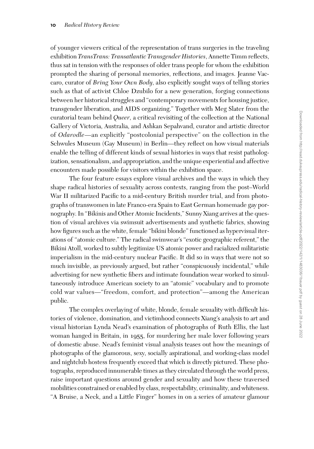of younger viewers critical of the representation of trans surgeries in the traveling exhibition TransTrans: Transatlantic Transgender Histories, Annette Timm reflects, thus sat in tension with the responses of older trans people for whom the exhibition prompted the sharing of personal memories, reflections, and images. Jeanne Vaccaro, curator of Bring Your Own Body, also explicitly sought ways of telling stories such as that of activist Chloe Dzubilo for a new generation, forging connections between her historical struggles and "contemporary movements for housing justice, transgender liberation, and AIDS organizing." Together with Meg Slater from the curatorial team behind Queer, a critical revisiting of the collection at the National Gallery of Victoria, Australia, and Ashkan Sepahvand, curator and artistic director of Odarodle—an explicitly "postcolonial perspective" on the collection in the Schwules Museum (Gay Museum) in Berlin—they reflect on how visual materials enable the telling of different kinds of sexual histories in ways that resist pathologization, sensationalism, and appropriation, and the unique experiential and affective encounters made possible for visitors within the exhibition space.

The four feature essays explore visual archives and the ways in which they shape radical histories of sexuality across contexts, ranging from the post–World War II militarized Pacific to a mid-century British murder trial, and from photographs of transwomen in late Franco-era Spain to East German homemade gay pornography. In "Bikinis and Other Atomic Incidents," Sunny Xiang arrives at the question of visual archives via swimsuit advertisements and synthetic fabrics, showing how figures such as the white, female "bikini blonde" functioned as hypervisual iterations of "atomic culture." The radical swimwear's "exotic geographic referent," the Bikini Atoll, worked to subtly legitimize US atomic power and racialized militaristic imperialism in the mid-century nuclear Pacific. It did so in ways that were not so much invisible, as previously argued, but rather "conspicuously incidental," while advertising for new synthetic fibers and intimate foundation wear worked to simultaneously introduce American society to an "atomic" vocabulary and to promote cold war values—"freedom, comfort, and protection"—among the American public.

The complex overlaying of white, blonde, female sexuality with difficult histories of violence, domination, and victimhood connects Xiang's analysis to art and visual historian Lynda Nead's examination of photographs of Ruth Ellis, the last woman hanged in Britain, in 1955, for murdering her male lover following years of domestic abuse. Nead's feminist visual analysis teases out how the meanings of photographs of the glamorous, sexy, socially aspirational, and working-class model and nightclub hostess frequently exceed that which is directly pictured. These photographs, reproduced innumerable times as they circulated through the world press, raise important questions around gender and sexuality and how these traversed mobilities constrained or enabled by class, respectability, criminality, and whiteness. "A Bruise, a Neck, and a Little Finger" homes in on a series of amateur glamour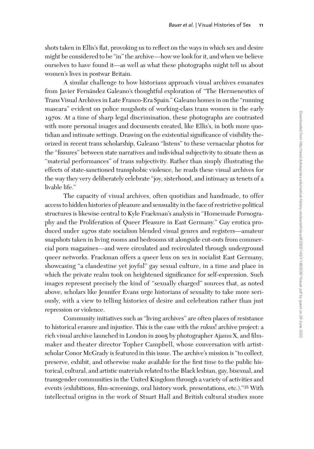shots taken in Ellis's flat, provoking us to reflect on the ways in which sex and desire might be considered to be "in"the archive—how we look for it, and when we believe ourselves to have found it—as well as what these photographs might tell us about women's lives in postwar Britain.

A similar challenge to how historians approach visual archives emanates from Javier Fernández Galeano's thoughtful exploration of "The Hermeneutics of Trans Visual Archives in Late Franco-Era Spain." Galeano homes in on the "running mascara" evident on police mugshots of working-class trans women in the early 1970s. At a time of sharp legal discrimination, these photographs are contrasted with more personal images and documents created, like Ellis's, in both more quotidian and intimate settings. Drawing on the existential significance of visibility theorized in recent trans scholarship, Galeano "listens" to these vernacular photos for the "fissures" between state narratives and individual subjectivity to situate them as "material performances" of trans subjectivity. Rather than simply illustrating the effects of state-sanctioned transphobic violence, he reads these visual archives for the way they very deliberately celebrate "joy, sisterhood, and intimacy as tenets of a livable life."

The capacity of visual archives, often quotidian and handmade, to offer access to hidden histories of pleasure and sensuality in the face of restrictive political structures is likewise central to Kyle Frackman's analysis in "Homemade Pornography and the Proliferation of Queer Pleasure in East Germany." Gay erotica produced under 1970s state socialism blended visual genres and registers—amateur snapshots taken in living rooms and bedrooms sit alongside cut-outs from commercial porn magazines—and were circulated and recirculated through underground queer networks. Frackman offers a queer lens on sex in socialist East Germany, showcasing "a clandestine yet joyful" gay sexual culture, in a time and place in which the private realm took on heightened significance for self-expression. Such images represent precisely the kind of "sexually charged" sources that, as noted above, scholars like Jennifer Evans urge historians of sexuality to take more seriously, with a view to telling histories of desire and celebration rather than just repression or violence.

Community initiatives such as "living archives" are often places of resistance to historical erasure and injustice. This is the case with the rukus! archive project: a rich visual archive launched in London in 2005 by photographer Ajamu X, and filmmaker and theater director Topher Campbell, whose conversation with artistscholar Conor McGrady is featured in this issue. The archive's mission is "to collect, preserve, exhibit, and otherwise make available for the first time to the public historical, cultural, and artistic materials related to the Black lesbian, gay, bisexual, and transgender communities in the United Kingdom through a variety of activities and events (exhibitions, film-screenings, oral history work, presentations, etc.)."<sup>35</sup> With intellectual origins in the work of Stuart Hall and British cultural studies more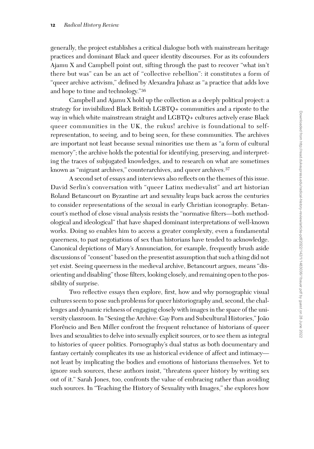generally, the project establishes a critical dialogue both with mainstream heritage practices and dominant Black and queer identity discourses. For as its cofounders Ajamu X and Campbell point out, sifting through the past to recover "what isn't there but was" can be an act of "collective rebellion": it constitutes a form of "queer archive activism," defined by Alexandra Juhasz as "a practice that adds love and hope to time and technology."<sup>36</sup>

Campbell and Ajamu X hold up the collection as a deeply political project: a strategy for invisibilized Black British LGBTQ+ communities and a riposte to the way in which white mainstream straight and LGBTQ+ cultures actively erase Black queer communities in the UK, the rukus! archive is foundational to selfrepresentation, to seeing, and to being seen, for these communities. The archives are important not least because sexual minorities use them as "a form of cultural memory"; the archive holds the potential for identifying, preserving, and interpreting the traces of subjugated knowledges, and to research on what are sometimes known as "migrant archives," counterarchives, and queer archives.<sup>37</sup>

A second set of essays and interviews also reflects on the themes of this issue. David Serlin's conversation with "queer Latinx medievalist" and art historian Roland Betancourt on Byzantine art and sexuality leaps back across the centuries to consider representations of the sexual in early Christian iconography. Betancourt's method of close visual analysis resists the "normative filters—both methodological and ideological" that have shaped dominant interpretations of well-known works. Doing so enables him to access a greater complexity, even a fundamental queerness, to past negotiations of sex than historians have tended to acknowledge. Canonical depictions of Mary's Annunciation, for example, frequently brush aside discussions of "consent" based on the presentist assumption that such a thing did not yet exist. Seeing queerness in the medieval archive, Betancourt argues, means "disorienting and disabling"those filters, looking closely, and remaining open to the possibility of surprise.

Two reflective essays then explore, first, how and why pornographic visual cultures seem to pose such problems for queer historiography and, second, the challenges and dynamic richness of engaging closely with images in the space of the university classroom. In "Sexing the Archive: Gay Porn and Subcultural Histories,"João Florêncio and Ben Miller confront the frequent reluctance of historians of queer lives and sexualities to delve into sexually explicit sources, or to see them as integral to histories of queer politics. Pornography's dual status as both documentary and fantasy certainly complicates its use as historical evidence of affect and intimacy not least by implicating the bodies and emotions of historians themselves. Yet to ignore such sources, these authors insist, "threatens queer history by writing sex out of it." Sarah Jones, too, confronts the value of embracing rather than avoiding such sources. In "Teaching the History of Sexuality with Images," she explores how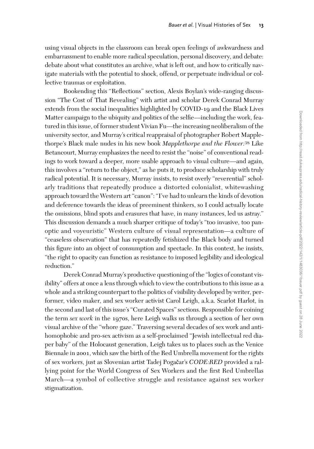using visual objects in the classroom can break open feelings of awkwardness and embarrassment to enable more radical speculation, personal discovery, and debate: debate about what constitutes an archive, what is left out, and how to critically navigate materials with the potential to shock, offend, or perpetuate individual or collective traumas or exploitation.

Bookending this "Reflections" section, Alexis Boylan's wide-ranging discussion "The Cost of That Revealing" with artist and scholar Derek Conrad Murray extends from the social inequalities highlighted by COVID-19 and the Black Lives Matter campaign to the ubiquity and politics of the selfie—including the work, featured in this issue, of former student Vivian Fu—the increasing neoliberalism of the university sector, and Murray's critical reappraisal of photographer Robert Mapplethorpe's Black male nudes in his new book Mapplethorpe and the Flower.<sup>38</sup> Like Betancourt, Murray emphasizes the need to resist the "noise" of conventional readings to work toward a deeper, more usable approach to visual culture—and again, this involves a "return to the object," as he puts it, to produce scholarship with truly radical potential. It is necessary, Murray insists, to resist overly "reverential" scholarly traditions that repeatedly produce a distorted colonialist, whitewashing approach toward the Western art "canon":"I've had to unlearn the kinds of devotion and deference towards the ideas of preeminent thinkers, so I could actually locate the omissions, blind spots and erasures that have, in many instances, led us astray." This discussion demands a much sharper critique of today's "too invasive, too panoptic and voyeuristic" Western culture of visual representation—a culture of "ceaseless observation" that has repeatedly fetishized the Black body and turned this figure into an object of consumption and spectacle. In this context, he insists, "the right to opacity can function as resistance to imposed legibility and ideological reduction."

Derek Conrad Murray's productive questioning of the "logics of constant visibility" offers at once a lens through which to view the contributions to this issue as a whole and a striking counterpart to the politics of visibility developed by writer, performer, video maker, and sex worker activist Carol Leigh, a.k.a. Scarlot Harlot, in the second and last of this issue's"Curated Spaces"sections. Responsible for coining the term sex work in the 1970s, here Leigh walks us through a section of her own visual archive of the "whore gaze." Traversing several decades of sex work and antihomophobic and pro-sex activism as a self-proclaimed "Jewish intellectual red diaper baby" of the Holocaust generation, Leigh takes us to places such as the Venice Biennale in 2001, which saw the birth of the Red Umbrella movement for the rights of sex workers, just as Slovenian artist Tadej Pogačar's CODE:RED provided a rallying point for the World Congress of Sex Workers and the first Red Umbrellas March—a symbol of collective struggle and resistance against sex worker stigmatization.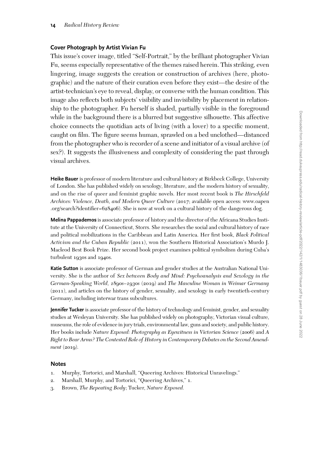### Cover Photograph by Artist Vivian Fu

This issue's cover image, titled "Self-Portrait," by the brilliant photographer Vivian Fu, seems especially representative of the themes raised herein. This striking, even lingering, image suggests the creation or construction of archives (here, photographic) and the nature of their curation even before they exist—the desire of the artist-technician's eye to reveal, display, or converse with the human condition. This image also reflects both subjects' visibility and invisibility by placement in relationship to the photographer. Fu herself is shaded, partially visible in the foreground while in the background there is a blurred but suggestive silhouette. This affective choice connects the quotidian acts of living (with a lover) to a specific moment, caught on film. The figure seems human, sprawled on a bed unclothed—distanced from the photographer who is recorder of a scene and initiator of a visual archive (of sex?). It suggests the illusiveness and complexity of considering the past through visual archives.

Heike Bauer is professor of modern literature and cultural history at Birkbeck College, University of London. She has published widely on sexology, literature, and the modern history of sexuality, and on the rise of queer and feminist graphic novels. Her most recent book is *The Hirschfeld* Archives: Violence, Death, and Modern Queer Culture (2017; available open access: [www.oapen](http://www.oapen.org/search?identifier=628406) [.org/search?identi](http://www.oapen.org/search?identifier=628406)fier=628406). She is now at work on a cultural history of the dangerous dog.

Melina Pappademos is associate professor of history and the director of the Africana Studies Institute at the University of Connecticut, Storrs. She researches the social and cultural history of race and political mobilizations in the Caribbean and Latin America. Her first book, Black Political Activism and the Cuban Republic (2011), won the Southern Historical Association's Murdo J. Macleod Best Book Prize. Her second book project examines political symbolism during Cuba's turbulent 1930s and 1940s.

Katie Sutton is associate professor of German and gender studies at the Australian National University. She is the author of Sex between Body and Mind: Psychoanalysis and Sexology in the German-Speaking World, 1890s–1930s (2019) and The Masculine Woman in Weimar Germany (2011), and articles on the history of gender, sexuality, and sexology in early twentieth-century Germany, including interwar trans subcultures.

Jennifer Tucker is associate professor of the history of technology and feminist, gender, and sexuality studies at Wesleyan University. She has published widely on photography, Victorian visual culture, museums, the role of evidence in jury trials, environmental law, guns and society, and public history. Her books include Nature Exposed: Photography as Eyewitness in Victorian Science (2006) and A Right to Bear Arms? The Contested Role of History in Contemporary Debates on the Second Amendment (2019).

### Notes

- 1. Murphy, Tortorici, and Marshall, "Queering Archives: Historical Unravelings."
- 2. Marshall, Murphy, and Tortorici, "Queering Archives," 1.
- 3. Brown, The Repeating Body; Tucker, Nature Exposed.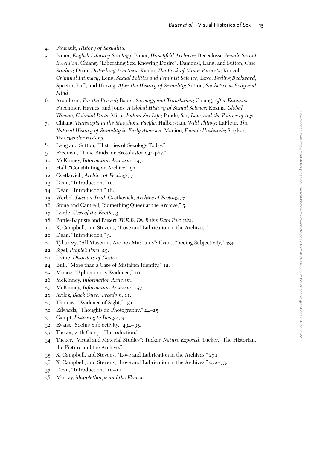- 4. Foucault, History of Sexuality.
- 5. Bauer, English Literary Sexology; Bauer, Hirschfeld Archives; Beccalossi, Female Sexual Inversion; Chiang, "Liberating Sex, Knowing Desire"; Damousi, Lang, and Sutton, Case Studies; Doan, Disturbing Practices; Kahan, The Book of Minor Perverts; Kunzel, Criminal Intimacy; Leng, Sexual Politics and Feminist Science; Love, Feeling Backward; Spector, Puff, and Herzog, After the History of Sexuality; Sutton, Sex between Body and Mind.
- 6. Arondekar, For the Record; Bauer, Sexology and Translation; Chiang, After Eunuchs; Fuechtner, Haynes, and Jones, A Global History of Sexual Science; Kozma, Global Women, Colonial Ports; Mitra, Indian Sex Life; Pande, Sex, Law, and the Politics of Age.
- 7. Chiang, Transtopia in the Sinophone Pacific; Halberstam, Wild Things; LaFleur, The Natural History of Sexuality in Early America; Manion, Female Husbands; Stryker, Transgender History.
- 8. Leng and Sutton, "Histories of Sexology Today."
- 9. Freeman, "Time Binds, or Erotohistoriography."
- 10. McKinney, Information Activism, 197.
- 11. Hall, "Constituting an Archive," 92.
- 12. Cvetkovich, Archive of Feelings, 7.
- 13. Dean, "Introduction," 10.
- 14. Dean, "Introduction," 18.
- 15. Werbel, Lust on Trial; Cvetkovich, Archive of Feelings, 7.
- 16. Stone and Cantrell, "Something Queer at the Archive," 5.
- 17. Lorde, Uses of the Erotic, 3.
- 18. Battle-Baptiste and Rusert, W.E.B. Du Bois's Data Portraits.
- 19. X, Campbell, and Stevens, "Love and Lubrication in the Archives."
- 20. Dean, "Introduction," 3.
- 21. Tyburczy, "All Museums Are Sex Museums"; Evans, "Seeing Subjectivity," 434.
- 22. Sigel, People's Porn, 23.
- 23. Irvine, Disorders of Desire.
- 24. Bull, "More than a Case of Mistaken Identity," 12.
- 25. Muñoz, "Ephemera as Evidence," 10.
- 26. McKinney, Information Activism.
- 27. McKinney, Information Activism, 157.
- 28. Avilez, Black Queer Freedom, 11.
- 29. Thomas, "Evidence of Sight," 151.
- 30. Edwards, "Thoughts on Photography," 24–25.
- 31. Campt, Listening to Images, 9.
- 32. Evans, "Seeing Subjectivity," 434–35.
- 33. Tucker, with Campt, "Introduction."
- 34. Tucker, "Visual and Material Studies"; Tucker, Nature Exposed; Tucker, "The Historian, the Picture and the Archive."
- 35. X, Campbell, and Stevens, "Love and Lubrication in the Archives," 271.
- 36. X, Campbell, and Stevens, "Love and Lubrication in the Archives," 272–73.
- 37. Dean, "Introduction," 10–11.
- 38. Murray, Mapplethorpe and the Flower.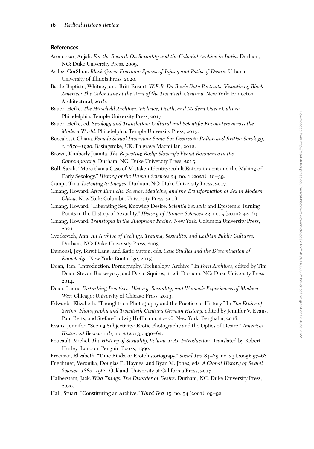#### References

- Arondekar, Anjali. For the Record: On Sexuality and the Colonial Archive in India. Durham, NC: Duke University Press, 2009.
- Avilez, GerShun. Black Queer Freedom: Spaces of Injury and Paths of Desire. Urbana: University of Illinois Press, 2020.
- Battle-Baptiste, Whitney, and Britt Rusert. W.E.B. Du Bois's Data Portraits, Visualizing Black America: The Color Line at the Turn of the Twentieth Century. New York: Princeton Architectural, 2018.

Bauer, Heike. The Hirscheld Archives: Violence, Death, and Modern Queer Culture. Philadelphia: Temple University Press, 2017.

- Bauer, Heike, ed. Sexology and Translation: Cultural and Scientific Encounters across the Modern World. Philadelphia: Temple University Press, 2015.
- Beccalossi, Chiara. Female Sexual Inversion: Same-Sex Desires in Italian and British Sexology, c. 1870–1920. Basingstoke, UK: Palgrave Macmillan, 2012.

Brown, Kimberly Juanita. The Repeating Body: Slavery's Visual Resonance in the Contemporary. Durham, NC: Duke University Press, 2015.

- Bull, Sarah. "More than a Case of Mistaken Identity: Adult Entertainment and the Making of Early Sexology." History of the Human Sciences 34, no. 1 (2021): 10–39.
- Campt, Tina. Listening to Images. Durham, NC: Duke University Press, 2017.
- Chiang, Howard. After Eunuchs: Science, Medicine, and the Transformation of Sex in Modern China. New York: Columbia University Press, 2018.
- Chiang, Howard. "Liberating Sex, Knowing Desire: Scientia Sexualis and Epistemic Turning Points in the History of Sexuality." History of Human Sciences 23, no. 5 (2010): 42-69.
- Chiang, Howard. Transtopia in the Sinophone Pacific. New York: Columbia University Press, 2021.
- Cvetkovich, Ann. An Archive of Feelings: Trauma, Sexuality, and Lesbian Public Cultures. Durham, NC: Duke University Press, 2003.
- Damousi, Joy, Birgit Lang, and Katie Sutton, eds. Case Studies and the Dissemination of Knowledge. New York: Routledge, 2015.
- Dean, Tim. "Introduction: Pornography, Technology, Archive." In Porn Archives, edited by Tim Dean, Steven Ruszczycky, and David Squires, 1–28. Durham, NC: Duke University Press, 2014.
- Doan, Laura. Disturbing Practices: History, Sexuality, and Women's Experiences of Modern War. Chicago: University of Chicago Press, 2013.
- Edwards, Elizabeth. "Thoughts on Photography and the Practice of History." In The Ethics of Seeing: Photography and Twentieth Century German History, edited by Jennifer V. Evans, Paul Betts, and Stefan-Ludwig Hoffmann, 23–36. New York: Berghahn, 2018.
- Evans, Jennifer. "Seeing Subjectivity: Erotic Photography and the Optics of Desire." American Historical Review 118, no. 2 (2013): 430–62.
- Foucault, Michel. The History of Sexuality, Volume 1: An Introduction. Translated by Robert Hurley. London: Penguin Books, 1990.

Freeman, Elizabeth. "Time Binds, or Erotohistoriograpy." Social Text 84–85, no. 23 (2005): 57–68.

Fuechtner, Veronika, Douglas E. Haynes, and Ryan M. Jones, eds. A Global History of Sexual Science, 1880–1960. Oakland: University of California Press, 2017.

- Halberstam, Jack. Wild Things: The Disorder of Desire. Durham, NC: Duke University Press, 2020.
- Hall, Stuart. "Constituting an Archive." Third Text 15, no. 54 (2001): 89–92.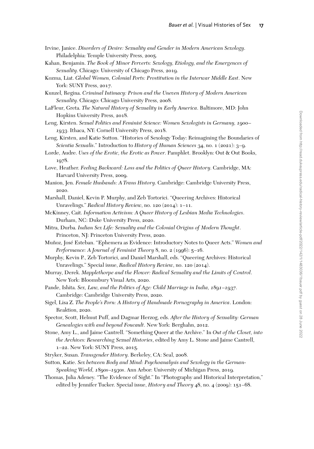- Irvine, Janice. Disorders of Desire: Sexuality and Gender in Modern American Sexology. Philadelphia: Temple University Press, 2005.
- Kahan, Benjamin. The Book of Minor Perverts: Sexology, Etiology, and the Emergences of Sexuality. Chicago: University of Chicago Press, 2019.
- Kozma, Liat. Global Women, Colonial Ports: Prostitution in the Interwar Middle East. New York: SUNY Press, 2017.
- Kunzel, Regina. Criminal Intimacy: Prison and the Uneven History of Modern American Sexuality. Chicago: Chicago University Press, 2008.
- LaFleur, Greta. The Natural History of Sexuality in Early America. Baltimore, MD: John Hopkins University Press, 2018.
- Leng, Kirsten. Sexual Politics and Feminist Science: Women Sexologists in Germany, 1900– 1933. Ithaca, NY: Cornell University Press, 2018.
- Leng, Kirsten, and Katie Sutton. "Histories of Sexology Today: Reimagining the Boundaries of Scientia Sexualis." Introduction to History of Human Sciences 34, no. 1 (2021): 3-9.
- Lorde, Audre. Uses of the Erotic, the Erotic as Power. Pamphlet. Brooklyn: Out & Out Books, 1978.
- Love, Heather. Feeling Backward: Loss and the Politics of Queer History. Cambridge, MA: Harvard University Press, 2009.
- Manion, Jen. Female Husbands: A Trans History. Cambridge: Cambridge University Press, 2020.
- Marshall, Daniel, Kevin P. Murphy, and Zeb Tortorici. "Queering Archives: Historical Unravelings." Radical History Review, no. 120 (2014): 1–11.
- McKinney, Cait. Information Activism: A Queer History of Lesbian Media Technologies. Durham, NC: Duke University Press, 2020.
- Mitra, Durba. Indian Sex Life: Sexuality and the Colonial Origins of Modern Thought. Princeton, NJ: Princeton University Press, 2020.
- Muñoz, José Esteban. "Ephemera as Evidence: Introductory Notes to Queer Acts." Women and Performance: A Journal of Feminist Theory 8, no. 2 (1996): 5-16.
- Murphy, Kevin P., Zeb Tortorici, and Daniel Marshall, eds. "Queering Archives: Historical Unravelings." Special issue, Radical History Review, no. 120 (2014).
- Murray, Derek. Mapplethorpe and the Flower: Radical Sexuality and the Limits of Control. New York: Bloomsbury Visual Arts, 2020.
- Pande, Ishita. Sex, Law, and the Politics of Age: Child Marriage in India, 1891–1937. Cambridge: Cambridge University Press, 2020.
- Sigel, Lisa Z. The People's Porn: A History of Handmade Pornography in America. London: Reaktion, 2020.
- Spector, Scott, Helmut Puff, and Dagmar Herzog, eds. After the History of Sexuality: German Genealogies with and beyond Foucault. New York: Berghahn, 2012.
- Stone, Amy L., and Jaime Cantrell. "Something Queer at the Archive." In Out of the Closet, into the Archives: Researching Sexual Histories, edited by Amy L. Stone and Jaime Cantrell, 1–22. New York: SUNY Press, 2015.
- Stryker, Susan. Transgender History. Berkeley, CA: Seal, 2008.
- Sutton, Katie. Sex between Body and Mind: Psychoanalysis and Sexology in the German-Speaking World, 1890s–1930s. Ann Arbor: University of Michigan Press, 2019.
- Thomas, Julia Adeney. "The Evidence of Sight." In "Photography and Historical Interpretation," edited by Jennifer Tucker. Special issue, History and Theory 48, no. 4 (2009): 151–68.